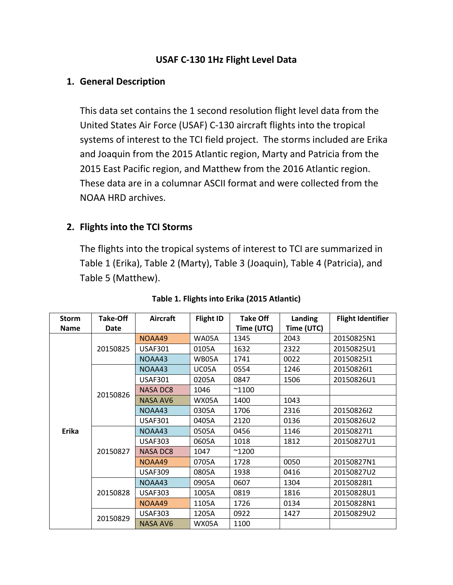### **USAF C-130 1Hz Flight Level Data**

### **1. General Description**

This data set contains the 1 second resolution flight level data from the United States Air Force (USAF) C-130 aircraft flights into the tropical systems of interest to the TCI field project. The storms included are Erika and Joaquin from the 2015 Atlantic region, Marty and Patricia from the 2015 East Pacific region, and Matthew from the 2016 Atlantic region. These data are in a columnar ASCII format and were collected from the NOAA HRD archives.

## **2. Flights into the TCI Storms**

The flights into the tropical systems of interest to TCI are summarized in Table 1 (Erika), Table 2 (Marty), Table 3 (Joaquin), Table 4 (Patricia), and Table 5 (Matthew).

| <b>Storm</b> | Take-Off | <b>Aircraft</b> | <b>Flight ID</b> | <b>Take Off</b> | Landing    | <b>Flight Identifier</b> |
|--------------|----------|-----------------|------------------|-----------------|------------|--------------------------|
| <b>Name</b>  | Date     |                 |                  | Time (UTC)      | Time (UTC) |                          |
|              |          | NOAA49          | <b>WA05A</b>     | 1345            | 2043       | 20150825N1               |
|              | 20150825 | <b>USAF301</b>  | 0105A            | 1632            | 2322       | 20150825U1               |
|              |          | NOAA43          | WB05A            | 1741            | 0022       | 2015082511               |
|              |          | NOAA43          | UC05A            | 0554            | 1246       | 2015082611               |
|              |          | <b>USAF301</b>  | 0205A            | 0847            | 1506       | 20150826U1               |
|              | 20150826 | <b>NASA DC8</b> | 1046             | $^{\sim}$ 1100  |            |                          |
|              |          | <b>NASA AV6</b> | <b>WX05A</b>     | 1400            | 1043       |                          |
|              |          | NOAA43          | 0305A            | 1706            | 2316       | 2015082612               |
|              |          | <b>USAF301</b>  | 0405A            | 2120            | 0136       | 20150826U2               |
| <b>Erika</b> | 20150827 | NOAA43          | 0505A            | 0456            | 1146       | 2015082711               |
|              |          | <b>USAF303</b>  | 0605A            | 1018            | 1812       | 20150827U1               |
|              |          | <b>NASA DC8</b> | 1047             | $^{\sim}$ 1200  |            |                          |
|              |          | NOAA49          | 0705A            | 1728            | 0050       | 20150827N1               |
|              |          | <b>USAF309</b>  | 0805A            | 1938            | 0416       | 20150827U2               |
|              |          | NOAA43          | 0905A            | 0607            | 1304       | 2015082811               |
|              | 20150828 | <b>USAF303</b>  | 1005A            | 0819            | 1816       | 20150828U1               |
|              |          | NOAA49          | 1105A            | 1726            | 0134       | 20150828N1               |
|              | 20150829 | <b>USAF303</b>  | 1205A            | 0922            | 1427       | 20150829U2               |
|              |          | <b>NASA AV6</b> | <b>WX05A</b>     | 1100            |            |                          |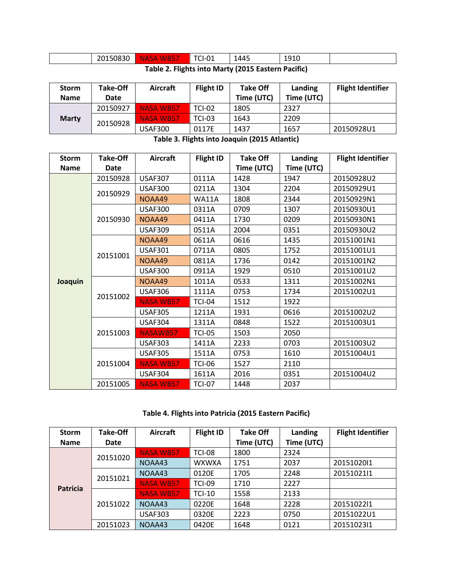|                                                    | 20150830 | <b>NASA</b><br>WB5. | <sup>-</sup> CI-01 | 1445 | 191C<br>ᆂᆚᆂᇦ |  |
|----------------------------------------------------|----------|---------------------|--------------------|------|--------------|--|
| Teble 2. Flichte into Monty (2015 Feeters Decifie) |          |                     |                    |      |              |  |

| Table 2. Flights into Marty (2015 Eastern Pacific) |  |  |  |
|----------------------------------------------------|--|--|--|
|----------------------------------------------------|--|--|--|

| <b>Storm</b> | Take-Off | Aircraft         | <b>Flight ID</b> | <b>Take Off</b> | Landing    | <b>Flight Identifier</b> |
|--------------|----------|------------------|------------------|-----------------|------------|--------------------------|
| <b>Name</b>  | Date     |                  |                  | Time (UTC)      | Time (UTC) |                          |
| <b>Marty</b> | 20150927 | <b>NASA WB57</b> | <b>TCI-02</b>    | 1805            | 2327       |                          |
|              | 20150928 | <b>NASA WB57</b> | <b>TCI-03</b>    | 1643            | 2209       |                          |
|              |          | USAF300          | 0117E            | 1437            | 1657       | 20150928U1               |

**Table 3. Flights into Joaquin (2015 Atlantic)**

| <b>Storm</b> | <b>Take-Off</b> | <b>Aircraft</b>  | <b>Flight ID</b> | <b>Take Off</b> | Landing    | <b>Flight Identifier</b> |
|--------------|-----------------|------------------|------------------|-----------------|------------|--------------------------|
| <b>Name</b>  | Date            |                  |                  | Time (UTC)      | Time (UTC) |                          |
|              | 20150928        | <b>USAF307</b>   | 0111A            | 1428            | 1947       | 20150928U2               |
|              |                 | <b>USAF300</b>   | 0211A            | 1304            | 2204       | 20150929U1               |
|              | 20150929        | NOAA49           | <b>WA11A</b>     | 1808            | 2344       | 20150929N1               |
|              |                 | <b>USAF300</b>   | 0311A            | 0709            | 1307       | 20150930U1               |
|              | 20150930        | NOAA49           | 0411A            | 1730            | 0209       | 20150930N1               |
|              |                 | <b>USAF309</b>   | 0511A            | 2004            | 0351       | 20150930U2               |
|              |                 | NOAA49           | 0611A            | 0616            | 1435       | 20151001N1               |
|              | 20151001        | <b>USAF301</b>   | 0711A            | 0805            | 1752       | 20151001U1               |
| Joaquin      |                 | NOAA49           | 0811A            | 1736            | 0142       | 20151001N2               |
|              |                 | <b>USAF300</b>   | 0911A            | 1929            | 0510       | 20151001U2               |
|              | 20151002        | NOAA49           | 1011A            | 0533            | 1311       | 20151002N1               |
|              |                 | <b>USAF306</b>   | 1111A            | 0753            | 1734       | 20151002U1               |
|              |                 | <b>NASA WB57</b> | <b>TCI-04</b>    | 1512            | 1922       |                          |
|              |                 | <b>USAF305</b>   | 1211A            | 1931            | 0616       | 20151002U2               |
|              |                 | <b>USAF304</b>   | 1311A            | 0848            | 1522       | 20151003U1               |
|              | 20151003        | <b>NASAWB57</b>  | <b>TCI-05</b>    | 1503            | 2050       |                          |
|              |                 | <b>USAF303</b>   | 1411A            | 2233            | 0703       | 20151003U2               |
|              |                 | <b>USAF305</b>   | 1511A            | 0753            | 1610       | 20151004U1               |
|              | 20151004        | <b>NASA WB57</b> | <b>TCI-06</b>    | 1527            | 2110       |                          |
|              |                 | <b>USAF304</b>   | 1611A            | 2016            | 0351       | 20151004U2               |
|              | 20151005        | <b>NASA WB57</b> | <b>TCI-07</b>    | 1448            | 2037       |                          |

**Table 4. Flights into Patricia (2015 Eastern Pacific)**

| <b>Storm</b>    | <b>Take-Off</b> | <b>Aircraft</b>  | <b>Flight ID</b> | <b>Take Off</b> | Landing    | <b>Flight Identifier</b> |
|-----------------|-----------------|------------------|------------------|-----------------|------------|--------------------------|
| <b>Name</b>     | Date            |                  |                  | Time (UTC)      | Time (UTC) |                          |
|                 | 20151020        | <b>NASA WB57</b> | <b>TCI-08</b>    | 1800            | 2324       |                          |
|                 |                 | NOAA43           | <b>WXWXA</b>     | 1751            | 2037       | 2015102011               |
| <b>Patricia</b> | 20151021        | NOAA43           | 0120E            | 1705            | 2248       | 20151021l1               |
|                 |                 | <b>NASA WB57</b> | <b>TCI-09</b>    | 1710            | 2227       |                          |
|                 | 20151022        | <b>NASA WB57</b> | <b>TCI-10</b>    | 1558            | 2133       |                          |
|                 |                 | NOAA43           | 0220E            | 1648            | 2228       | 2015102211               |
|                 |                 | <b>USAF303</b>   | 0320E            | 2223            | 0750       | 20151022U1               |
|                 | 20151023        | NOAA43           | 0420E            | 1648            | 0121       | 2015102311               |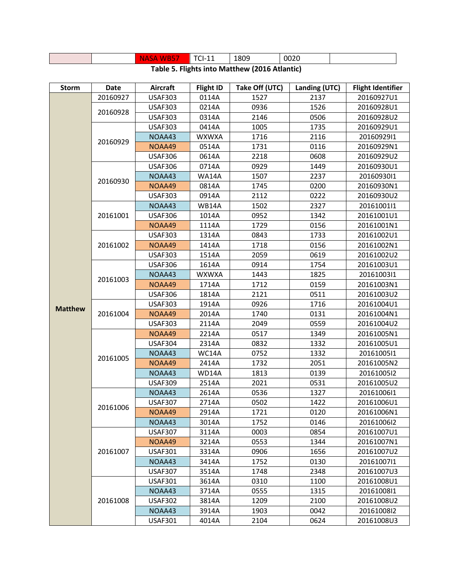|                                                |  | NA.<br>. .<br>ЬA<br>v v | TCI-11 | 1809 | 0020 |  |
|------------------------------------------------|--|-------------------------|--------|------|------|--|
| Toble F. Flichte into Motthour (2016 Atlantia) |  |                         |        |      |      |  |

| <b>Storm</b>   | Date     | <b>Aircraft</b> | <b>Flight ID</b> | Take Off (UTC) | Landing (UTC) | <b>Flight Identifier</b> |
|----------------|----------|-----------------|------------------|----------------|---------------|--------------------------|
|                | 20160927 | <b>USAF303</b>  | 0114A            | 1527           | 2137          | 20160927U1               |
|                | 20160928 | <b>USAF303</b>  | 0214A            | 0936           | 1526          | 20160928U1               |
|                |          | <b>USAF303</b>  | 0314A            | 2146           | 0506          | 20160928U2               |
|                |          | <b>USAF303</b>  | 0414A            | 1005           | 1735          | 20160929U1               |
|                | 20160929 | NOAA43          | <b>WXWXA</b>     | 1716           | 2116          | 2016092911               |
|                |          | NOAA49          | 0514A            | 1731           | 0116          | 20160929N1               |
|                |          | <b>USAF306</b>  | 0614A            | 2218           | 0608          | 20160929U2               |
|                |          | <b>USAF306</b>  | 0714A            | 0929           | 1449          | 20160930U1               |
|                | 20160930 | NOAA43          | <b>WA14A</b>     | 1507           | 2237          | 2016093011               |
|                |          | NOAA49          | 0814A            | 1745           | 0200          | 20160930N1               |
|                |          | <b>USAF303</b>  | 0914A            | 2112           | 0222          | 20160930U2               |
|                |          | NOAA43          | <b>WB14A</b>     | 1502           | 2327          | 20161001l1               |
|                | 20161001 | <b>USAF306</b>  | 1014A            | 0952           | 1342          | 20161001U1               |
|                |          | NOAA49          | 1114A            | 1729           | 0156          | 20161001N1               |
|                |          | <b>USAF303</b>  | 1314A            | 0843           | 1733          | 20161002U1               |
|                | 20161002 | NOAA49          | 1414A            | 1718           | 0156          | 20161002N1               |
|                |          | <b>USAF303</b>  | 1514A            | 2059           | 0619          | 20161002U2               |
|                | 20161003 | <b>USAF306</b>  | 1614A            | 0914           | 1754          | 20161003U1               |
|                |          | NOAA43          | <b>WXWXA</b>     | 1443           | 1825          | 2016100311               |
|                |          | NOAA49          | 1714A            | 1712           | 0159          | 20161003N1               |
|                |          | <b>USAF306</b>  | 1814A            | 2121           | 0511          | 20161003U2               |
| <b>Matthew</b> | 20161004 | <b>USAF303</b>  | 1914A            | 0926           | 1716          | 20161004U1               |
|                |          | NOAA49          | 2014A            | 1740           | 0131          | 20161004N1               |
|                |          | <b>USAF303</b>  | 2114A            | 2049           | 0559          | 20161004U2               |
|                | 20161005 | NOAA49          | 2214A            | 0517           | 1349          | 20161005N1               |
|                |          | <b>USAF304</b>  | 2314A            | 0832           | 1332          | 20161005U1               |
|                |          | NOAA43          | WC14A            | 0752           | 1332          | 20161005l1               |
|                |          | NOAA49          | 2414A            | 1732           | 2051          | 20161005N2               |
|                |          | NOAA43          | WD14A            | 1813           | 0139          | 20161005l2               |
|                |          | <b>USAF309</b>  | 2514A            | 2021           | 0531          | 20161005U2               |
|                |          | NOAA43          | 2614A            | 0536           | 1327          | 20161006l1               |
|                | 20161006 | <b>USAF307</b>  | 2714A            | 0502           | 1422          | 20161006U1               |
|                |          | NOAA49          | 2914A            | 1721           | 0120          | 20161006N1               |
|                |          | NOAA43          | 3014A            | 1752           | 0146          | 20161006l2               |
|                |          | <b>USAF307</b>  | 3114A            | 0003           | 0854          | 20161007U1               |
|                |          | NOAA49          | 3214A            | 0553           | 1344          | 20161007N1               |
|                | 20161007 | <b>USAF301</b>  | 3314A            | 0906           | 1656          | 20161007U2               |
|                |          | NOAA43          | 3414A            | 1752           | 0130          | 20161007l1               |
|                |          | <b>USAF307</b>  | 3514A            | 1748           | 2348          | 20161007U3               |
|                |          | <b>USAF301</b>  | 3614A            | 0310           | 1100          | 20161008U1               |
|                |          | NOAA43          | 3714A            | 0555           | 1315          | 2016100811               |
|                | 20161008 | <b>USAF302</b>  | 3814A            | 1209           | 2100          | 20161008U2               |
|                |          | NOAA43          | 3914A            | 1903           | 0042          | 2016100812               |
|                |          | <b>USAF301</b>  | 4014A            | 2104           | 0624          | 20161008U3               |

#### **Table 5. Flights into Matthew (2016 Atlantic)**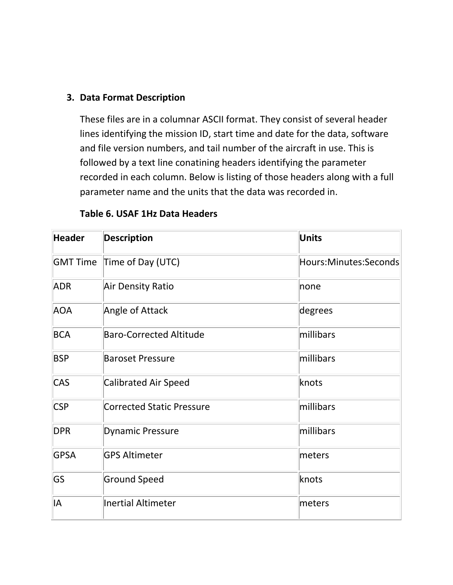### **3. Data Format Description**

These files are in a columnar ASCII format. They consist of several header lines identifying the mission ID, start time and date for the data, software and file version numbers, and tail number of the aircraft in use. This is followed by a text line conatining headers identifying the parameter recorded in each column. Below is listing of those headers along with a full parameter name and the units that the data was recorded in.

| <b>Header</b>   | <b>Description</b>               | <b>Units</b>          |
|-----------------|----------------------------------|-----------------------|
| <b>GMT Time</b> | Time of Day (UTC)                | Hours:Minutes:Seconds |
| <b>ADR</b>      | <b>Air Density Ratio</b>         | none                  |
| <b>AOA</b>      | Angle of Attack                  | degrees               |
| <b>BCA</b>      | <b>Baro-Corrected Altitude</b>   | millibars             |
| <b>BSP</b>      | <b>Baroset Pressure</b>          | millibars             |
| <b>CAS</b>      | <b>Calibrated Air Speed</b>      | knots                 |
| <b>CSP</b>      | <b>Corrected Static Pressure</b> | millibars             |
| <b>DPR</b>      | <b>Dynamic Pressure</b>          | millibars             |
| <b>GPSA</b>     | <b>GPS Altimeter</b>             | meters                |
| GS              | <b>Ground Speed</b>              | knots                 |
| IA              | <b>Inertial Altimeter</b>        | meters                |

### **Table 6. USAF 1Hz Data Headers**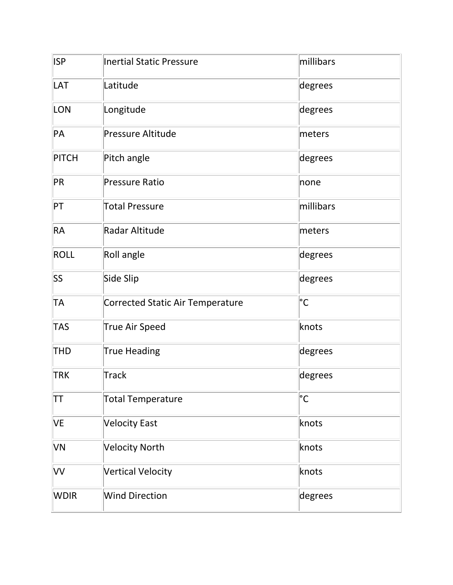| <b>ISP</b>   | <b>Inertial Static Pressure</b>         | millibars    |
|--------------|-----------------------------------------|--------------|
| LAT          | Latitude                                | degrees      |
| <b>LON</b>   | Longitude                               | degrees      |
| PA           | <b>Pressure Altitude</b>                | meters       |
| <b>PITCH</b> | Pitch angle                             | degrees      |
| PR           | <b>Pressure Ratio</b>                   | none         |
| PT           | <b>Total Pressure</b>                   | millibars    |
| <b>RA</b>    | Radar Altitude                          | meters       |
| <b>ROLL</b>  | Roll angle                              | degrees      |
| SS           | Side Slip                               | degrees      |
| <b>TA</b>    | <b>Corrected Static Air Temperature</b> | $^{\circ}$ C |
| <b>TAS</b>   | <b>True Air Speed</b>                   | knots        |
| <b>THD</b>   | <b>True Heading</b>                     | degrees      |
| <b>TRK</b>   | <b>Track</b>                            | degrees      |
| TΤ           | <b>Total Temperature</b>                | °С           |
| <b>VE</b>    | <b>Velocity East</b>                    | knots        |
| VN           | <b>Velocity North</b>                   | knots        |
| VV           | <b>Vertical Velocity</b>                | knots        |
| <b>WDIR</b>  | <b>Wind Direction</b>                   | degrees      |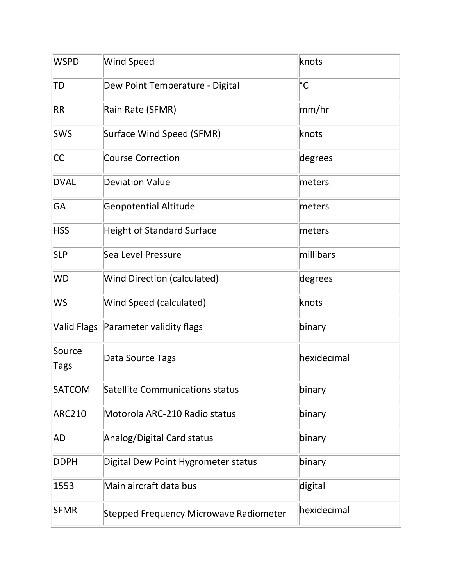| <b>WSPD</b>    | <b>Wind Speed</b>                             | knots         |
|----------------|-----------------------------------------------|---------------|
| TD             | Dew Point Temperature - Digital               | °С            |
| <b>RR</b>      | Rain Rate (SFMR)                              | $\vert$ mm/hr |
| <b>SWS</b>     | Surface Wind Speed (SFMR)                     | knots         |
| <b>CC</b>      | <b>Course Correction</b>                      | degrees       |
| <b>DVAL</b>    | <b>Deviation Value</b>                        | meters        |
| GA             | <b>Geopotential Altitude</b>                  | meters        |
| <b>HSS</b>     | <b>Height of Standard Surface</b>             | meters        |
| <b>SLP</b>     | Sea Level Pressure                            | millibars     |
| <b>WD</b>      | <b>Wind Direction (calculated)</b>            | degrees       |
| <b>WS</b>      | Wind Speed (calculated)                       | knots         |
|                | Valid Flags Parameter validity flags          | binary        |
| Source<br>Tags | Data Source Tags                              | hexidecimal   |
| <b>SATCOM</b>  | <b>Satellite Communications status</b>        | binary        |
| <b>ARC210</b>  | Motorola ARC-210 Radio status                 | binary        |
| <b>AD</b>      | Analog/Digital Card status                    | binary        |
| <b>DDPH</b>    | Digital Dew Point Hygrometer status           | binary        |
| 1553           | Main aircraft data bus                        | digital       |
| <b>SFMR</b>    | <b>Stepped Frequency Microwave Radiometer</b> | hexidecimal   |